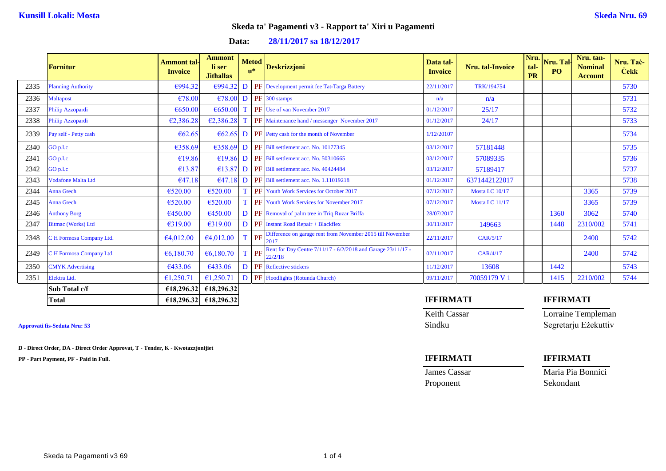| 28/11/2017 sa 18/12/2017<br>Data: |  |
|-----------------------------------|--|
|-----------------------------------|--|

|      | <b>Fornitur</b>           | Ammont tal-<br><b>Invoice</b> | Ammont<br>li ser<br><b>Jithallas</b> | <b>Metod</b><br>$\mathbf{u}^*$ |    | <b>Deskrizzjoni</b>                                                     | Data tal-<br><b>Invoice</b> | <b>Nru.</b> tal-Invoice | Nru.<br>tal-<br><b>PR</b> | Nru. Tal<br><b>PO</b> | Nru. tan-<br><b>Nominal</b><br><b>Account</b> | Nru. Tac-<br><b>Cekk</b> |
|------|---------------------------|-------------------------------|--------------------------------------|--------------------------------|----|-------------------------------------------------------------------------|-----------------------------|-------------------------|---------------------------|-----------------------|-----------------------------------------------|--------------------------|
| 2335 | <b>Planning Authority</b> | €994.32                       | €994.32                              |                                |    | D PF Development permit fee Tat-Targa Battery                           | 22/11/2017                  | TRK/194754              |                           |                       |                                               | 5730                     |
| 2336 | <b>Maltapost</b>          | €78.00                        | €78.00                               |                                |    | D PF 300 stamps                                                         | n/a                         | n/a                     |                           |                       |                                               | 5731                     |
| 2337 | Philip Azzopardi          | €650.00                       | €650.00                              |                                |    | PF Use of van November 2017                                             | 01/12/2017                  | 25/17                   |                           |                       |                                               | 5732                     |
| 2338 | Philip Azzopardi          | €2,386.28                     | €2,386.28                            |                                |    | PF Maintenance hand / messenger November 2017                           | 01/12/2017                  | 24/17                   |                           |                       |                                               | 5733                     |
| 2339 | Pay self - Petty cash     | € $62.65$                     | €62.65                               |                                |    | <b>D PF</b> Petty cash for the month of November                        | 1/12/20107                  |                         |                           |                       |                                               | 5734                     |
| 2340 | GO p.l.c                  | €358.69                       | €358.69                              |                                |    | <b>D</b> PF Bill settlement acc. No. 10177345                           | 03/12/2017                  | 57181448                |                           |                       |                                               | 5735                     |
| 2341 | GO p.l.c                  | €19.86                        |                                      |                                |    | $\leq$ 19.86 D PF Bill settlement acc. No. 50310665                     | 03/12/2017                  | 57089335                |                           |                       |                                               | 5736                     |
| 2342 | GO p.l.c                  | €13.87                        | €13.87                               |                                |    | <b>D</b> PF Bill settlement acc. No. 40424484                           | 03/12/2017                  | 57189417                |                           |                       |                                               | 5737                     |
| 2343 | <b>Vodafone Malta Ltd</b> | €47.18                        | €47.18                               |                                |    | <b>D PF</b> Bill settlement acc. No. 1.11019218                         | 01/12/2017                  | 6371442122017           |                           |                       |                                               | 5738                     |
| 2344 | <b>Anna Grech</b>         | €520.00                       | €520.00                              |                                |    | <b>PF</b> Youth Work Services for October 2017                          | 07/12/2017                  | Mosta LC 10/17          |                           |                       | 3365                                          | 5739                     |
| 2345 | <b>Anna Grech</b>         | €520.00                       | €520.00                              |                                |    | <b>PF</b> Youth Work Services for November 2017                         | 07/12/2017                  | Mosta LC 11/17          |                           |                       | 3365                                          | 5739                     |
| 2346 | <b>Anthony Borg</b>       | €450.00                       | €450.00                              |                                |    | D PF Removal of palm tree in Triq Ruzar Briffa                          | 28/07/2017                  |                         |                           | 1360                  | 3062                                          | 5740                     |
| 2347 | <b>Bitmac (Works) Ltd</b> | €319.00                       | €319.00                              |                                |    | <b>D</b> PF Instant Road Repair + Blackflex                             | 30/11/2017                  | 149663                  |                           | 1448                  | 2310/002                                      | 5741                     |
| 2348 | C H Formosa Company Ltd.  | €4,012.00                     | €4,012.00                            | T PF                           |    | Difference on garage rent from November 2015 till November<br>2017      | 22/11/2017                  | CAR/5/17                |                           |                       | 2400                                          | 5742                     |
| 2349 | C H Formosa Company Ltd.  | € $6,180.70$                  | € $6,180.70$                         |                                | PF | Rent for Day Centre 7/11/17 - 6/2/2018 and Garage 23/11/17 -<br>22/2/18 | 02/11/2017                  | CAR/4/17                |                           |                       | 2400                                          | 5742                     |
| 2350 | <b>CMYK</b> Advertising   | €433.06                       | €433.06                              |                                |    | <b>D</b> PF Reflective stickers                                         | 11/12/2017                  | 13608                   |                           | 1442                  |                                               | 5743                     |
| 2351 | Elektra Ltd.              | €1,250.71                     | €1,250.71                            |                                |    | <b>D</b> PF Floodlights (Rotunda Church)                                | 09/11/2017                  | 70059179 V 1            |                           | 1415                  | 2210/002                                      | 5744                     |
|      | Sub Total c/f             | €18,296.32                    | €18,296.32                           |                                |    |                                                                         |                             |                         |                           |                       |                                               |                          |
|      | <b>Total</b>              | £18,296.32                    | £18,296.32                           |                                |    |                                                                         | <b>IFFIRMATI</b>            |                         |                           | <b>IFFIRMATI</b>      |                                               |                          |

**D - Direct Order, DA - Direct Order Approvat, T - Tender, K - Kwotazzjonijiet**

**PP - Part Payment, PF - Paid in Full. IFFIRMATI IFFIRMATI**

Keith Cassar Lorraine Templeman Approvati fis-Seduta Nru: 53 Sindku Segretarju Eżekuttiv

Proponent Sekondant

**James Cassar Maria Pia Bonnici**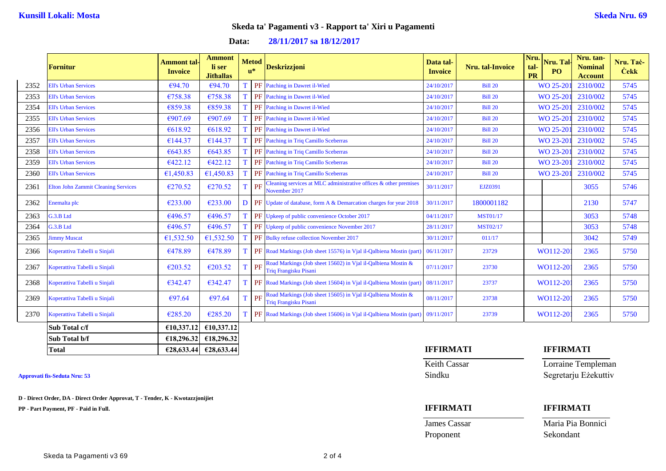# **Data: 28/11/2017 sa 18/12/2017**

|      | <b>Fornitur</b>                            | Ammont tal<br><b>Invoice</b> | <b>Ammont</b><br>li ser<br><b>Jithallas</b> |              | <b>Metod</b><br>$\mathbf{u}^*$ | <b>Deskrizzjoni</b>                                                                          | Data tal-<br><b>Invoice</b> | <b>Nru.</b> tal-Invoice | Nru.<br>tal-<br>PR | Nru. Tal-<br>PO | Nru. tan-<br><b>Nominal</b><br><b>Account</b> | Nru. Tac-<br><b>Cekk</b> |
|------|--------------------------------------------|------------------------------|---------------------------------------------|--------------|--------------------------------|----------------------------------------------------------------------------------------------|-----------------------------|-------------------------|--------------------|-----------------|-----------------------------------------------|--------------------------|
| 2352 | <b>Ell's Urban Services</b>                | €94.70                       | €94.70                                      |              |                                | <b>PF</b> Patching in Dawret il-Wied                                                         | 24/10/2017                  | <b>Bill 20</b>          |                    | WO 25-201       | 2310/002                                      | 5745                     |
| 2353 | <b>Ell's Urban Services</b>                | €758.38                      | €758.38                                     |              |                                | PF Patching in Dawret il-Wied                                                                | 24/10/2017                  | <b>Bill 20</b>          |                    | WO 25-201       | 2310/002                                      | 5745                     |
| 2354 | <b>Ell's Urban Services</b>                | €859.38                      | €859.38                                     |              |                                | PF Patching in Dawret il-Wied                                                                | 24/10/2017                  | <b>Bill 20</b>          |                    | WO 25-201       | 2310/002                                      | 5745                     |
| 2355 | <b>Ell's Urban Services</b>                | €907.69                      | €907.69                                     | T            |                                | PF Patching in Dawret il-Wied                                                                | 24/10/2017                  | <b>Bill 20</b>          |                    | WO 25-201       | 2310/002                                      | 5745                     |
| 2356 | <b>Ell's Urban Services</b>                | €618.92                      | €618.92                                     |              |                                | PF Patching in Dawret il-Wied                                                                | 24/10/2017                  | <b>Bill 20</b>          |                    | WO 25-201       | 2310/002                                      | 5745                     |
| 2357 | <b>Ell's Urban Services</b>                | €144.37                      | €144.37                                     |              |                                | PF Patching in Triq Camillo Sceberras                                                        | 24/10/2017                  | <b>Bill 20</b>          |                    | WO 23-201       | 2310/002                                      | 5745                     |
| 2358 | <b>Ell's Urban Services</b>                | €643.85                      | €643.85                                     |              |                                | <b>PF</b> Patching in Triq Camillo Sceberras                                                 | 24/10/2017                  | <b>Bill 20</b>          |                    | WO 23-201       | 2310/002                                      | 5745                     |
| 2359 | <b>Ell's Urban Services</b>                | €422.12                      | €422.12                                     |              |                                | <b>PF</b> Patching in Triq Camillo Sceberras                                                 | 24/10/2017                  | <b>Bill 20</b>          |                    | WO 23-201       | 2310/002                                      | 5745                     |
| 2360 | <b>Ell's Urban Services</b>                | €1,450.83                    | €1,450.83                                   |              |                                | PF Patching in Triq Camillo Sceberras                                                        | 24/10/2017                  | <b>Bill 20</b>          |                    | WO 23-201       | 2310/002                                      | 5745                     |
| 2361 | <b>Elton John Zammit Cleaning Services</b> | €270.52                      | €270.52                                     |              | PF                             | Cleaning services at MLC administrative offices & other premises<br>November 2017            | 30/11/2017                  | EJZ0391                 |                    |                 | 3055                                          | 5746                     |
| 2362 | Enemalta plc                               | €233.00                      | €233.00                                     | D.           |                                | <b>PF</b> Update of database, form A & Demarcation charges for year 2018                     | 30/11/2017                  | 1800001182              |                    |                 | 2130                                          | 5747                     |
| 2363 | G.3.B Ltd                                  | €496.57                      | €496.57                                     |              |                                | PF Upkeep of public convenience October 2017                                                 | 04/11/2017                  | <b>MST01/17</b>         |                    |                 | 3053                                          | 5748                     |
| 2364 | G.3.B Ltd                                  | €496.57                      | €496.57                                     |              |                                | PF Upkeep of public convenience November 2017                                                | 28/11/2017                  | <b>MST02/17</b>         |                    |                 | 3053                                          | 5748                     |
| 2365 | <b>Jimmy Muscat</b>                        | €1,532.50                    | €1,532.50                                   |              |                                | PF Bulky refuse collection November 2017                                                     | 30/11/2017                  | 011/17                  |                    |                 | 3042                                          | 5749                     |
| 2366 | Koperattiva Tabelli u Sinjali              | €478.89                      | €478.89                                     |              |                                | <b>PF</b> Road Markings (Job sheet 15576) in Vial il-Qalbiena Mostin (part)                  | 06/11/2017                  | 23729                   |                    | WO112-20        | 2365                                          | 5750                     |
| 2367 | Koperattiva Tabelli u Sinjali              | €203.52                      | €203.52                                     | <sup>T</sup> | PF                             | Road Markings (Job sheet 15602) in Vjal il-Qalbiena Mostin &<br><b>Triq Frangisku Pisani</b> | 07/11/2017                  | 23730                   |                    | WO112-20        | 2365                                          | 5750                     |
| 2368 | Koperattiva Tabelli u Sinjali              | €342.47                      | €342.47                                     |              |                                | <b>PF</b> Road Markings (Job sheet 15604) in Vial il-Qalbiena Mostin (part)                  | 08/11/2017                  | 23737                   |                    | WO112-20        | 2365                                          | 5750                     |
| 2369 | Koperattiva Tabelli u Sinjali              | €97.64                       | €97.64                                      |              | PF                             | Road Markings (Job sheet 15605) in Vjal il-Qalbiena Mostin &<br><b>Triq Frangisku Pisani</b> | 08/11/2017                  | 23738                   |                    | WO112-20        | 2365                                          | 5750                     |
| 2370 | Koperattiva Tabelli u Sinjali              | €285.20                      | €285.20                                     |              |                                | PF Road Markings (Job sheet 15606) in Vial il-Qalbiena Mostin (part) 09/11/2017              |                             | 23739                   |                    | WO112-201       | 2365                                          | 5750                     |
|      | Sub Total c/f                              | €10,337.12                   | €10,337.12                                  |              |                                |                                                                                              |                             |                         |                    |                 |                                               |                          |
|      | Sub Total b/f                              | €18,296.32                   | €18,296.32                                  |              |                                |                                                                                              |                             |                         |                    |                 |                                               |                          |

**D - Direct Order, DA - Direct Order Approvat, T - Tender, K - Kwotazzjonijiet**

**PP - Part Payment, PF - Paid in Full. IFFIRMATI IFFIRMATI**

**Total €28,633.44 €28,633.44 IFFIRMATI IFFIRMATI**

Keith Cassar **Lorraine Templeman** Approvati fis-Seduta Nru: 53 Sindku Segretarju Eżekuttiv

**James Cassar Maria Pia Bonnici** Proponent Sekondant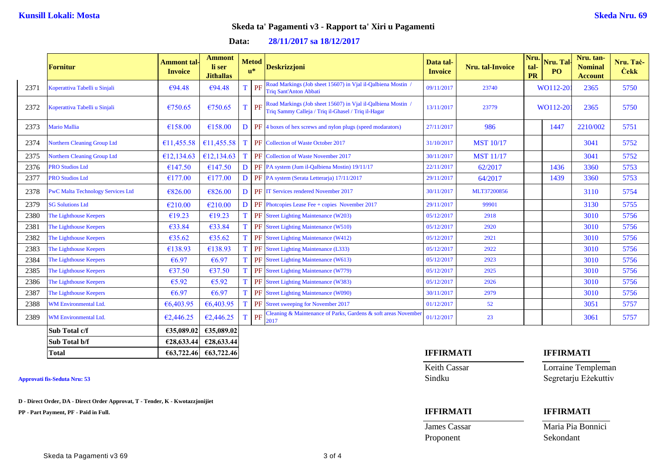# **Data: 28/11/2017 sa 18/12/2017**

|      | <b>Fornitur</b>                          | Ammont tal-<br><b>Invoice</b> | <b>Ammont</b><br>li ser<br><b>Jithallas</b> |             | <b>Metod</b><br>$\mathbf{u}^*$ | <b>Deskrizzjoni</b>                                                                                                 | Data tal-<br><b>Invoice</b> | <b>Nru.</b> tal-Invoice | Nru.<br>tal-<br><b>PR</b> | Nru. Tal-<br>P <sub>O</sub> | Nru. tan-<br><b>Nominal</b><br><b>Account</b> | Nru. Tač-<br><b>Čekk</b> |
|------|------------------------------------------|-------------------------------|---------------------------------------------|-------------|--------------------------------|---------------------------------------------------------------------------------------------------------------------|-----------------------------|-------------------------|---------------------------|-----------------------------|-----------------------------------------------|--------------------------|
| 2371 | Koperattiva Tabelli u Sinjali            | €94.48                        | €94.48                                      | T.          | PF                             | Road Markings (Job sheet 15607) in Vjal il-Qalbiena Mostin /<br><b>Triq Sant'Anton Abbati</b>                       | 09/11/2017                  | 23740                   |                           | WO112-20                    | 2365                                          | 5750                     |
| 2372 | Koperattiva Tabelli u Sinjali            | €750.65                       | €750.65                                     | T           | PF                             | Road Markings (Job sheet 15607) in Vjal il-Qalbiena Mostin /<br>Triq Sammy Calleja / Triq il-Ghasel / Triq il-Hagar | 13/11/2017                  | 23779                   | WO112-20                  |                             | 2365                                          | 5750                     |
| 2373 | <b>Mario Mallia</b>                      | €158.00                       | €158.00                                     | D           |                                | <b>PF</b> 4 boxes of hex screws and nylon plugs (speed modarators)                                                  | 27/11/2017                  | 986                     |                           | 1447                        | 2210/002                                      | 5751                     |
| 2374 | <b>Northern Cleaning Group Ltd</b>       | €11,455.58                    | €11,455.58                                  | $\mathbf T$ |                                | <b>PF</b> Collection of Waste October 2017                                                                          | 31/10/2017                  | <b>MST 10/17</b>        |                           |                             | 3041                                          | 5752                     |
| 2375 | <b>Northern Cleaning Group Ltd</b>       | €12,134.63                    | €12,134.63                                  | T           |                                | PF Collection of Waste November 2017                                                                                | 30/11/2017                  | <b>MST 11/17</b>        |                           |                             | 3041                                          | 5752                     |
| 2376 | <b>PRO Studios Ltd</b>                   | €147.50                       | €147.50                                     | D           |                                | PF PA system (Jum il-Qalbiena Mostin) 19/11/17                                                                      | 22/11/2017                  | 62/2017                 |                           | 1436                        | 3360                                          | 5753                     |
| 2377 | <b>PRO Studios Ltd</b>                   | €177.00                       | €177.00                                     | D           |                                | PF PA system (Serata Letterarja) 17/11/2017                                                                         | 29/11/2017                  | 64/2017                 |                           | 1439                        | 3360                                          | 5753                     |
| 2378 | <b>PwC Malta Technology Services Ltd</b> | €826.00                       | €826.00                                     | D           |                                | <b>PF</b> IT Services rendered November 2017                                                                        | 30/11/2017                  | MLT37200856             |                           |                             | 3110                                          | 5754                     |
| 2379 | <b>SG Solutions Ltd</b>                  | €210.00                       | €210.00                                     | D           |                                | PF Photopies Lease Fee + copies November 2017                                                                       | 29/11/2017                  | 99901                   |                           |                             | 3130                                          | 5755                     |
| 2380 | The Lighthouse Keepers                   | €19.23                        | €19.23                                      | T           |                                | PF Street Lighting Maintenance (W203)                                                                               | 05/12/2017                  | 2918                    |                           |                             | 3010                                          | 5756                     |
| 2381 | The Lighthouse Keepers                   | €33.84                        | €33.84                                      |             |                                | <b>PF</b> Street Lighting Maintenance (W510)                                                                        | 05/12/2017                  | 2920                    |                           |                             | 3010                                          | 5756                     |
| 2382 | The Lighthouse Keepers                   | €35.62                        | €35.62                                      |             |                                | PF Street Lighting Maintenance (W412)                                                                               | 05/12/2017                  | 2921                    |                           |                             | 3010                                          | 5756                     |
| 2383 | The Lighthouse Keepers                   | €138.93                       | €138.93                                     | T           |                                | PF Street Lighting Maintenance (L333)                                                                               | 05/12/2017                  | 2922                    |                           |                             | 3010                                          | 5756                     |
| 2384 | The Lighthouse Keepers                   | €6.97                         | €6.97                                       |             |                                | PF Street Lighting Maintenance (W613)                                                                               | 05/12/2017                  | 2923                    |                           |                             | 3010                                          | 5756                     |
| 2385 | The Lighthouse Keepers                   | €37.50                        | €37.50                                      |             |                                | PF Street Lighting Maintenance (W779)                                                                               | 05/12/2017                  | 2925                    |                           |                             | 3010                                          | 5756                     |
| 2386 | The Lighthouse Keepers                   | €5.92                         | €5.92                                       |             |                                | PF Street Lighting Maintenance (W383)                                                                               | 05/12/2017                  | 2926                    |                           |                             | 3010                                          | 5756                     |
| 2387 | The Lighthouse Keepers                   | €6.97                         | €6.97                                       |             |                                | PF Street Lighting Maintenance (W090)                                                                               | 30/11/2017                  | 2979                    |                           |                             | 3010                                          | 5756                     |
| 2388 | WM Environmental Ltd.                    | €6,403.95                     | €6,403.95                                   | T           |                                | PF Street sweeping for November 2017                                                                                | 01/12/2017                  | 52                      |                           |                             | 3051                                          | 5757                     |
| 2389 | <b>WM Environmental Ltd.</b>             | €2,446.25                     | €2,446.25                                   | T           | PF                             | Cleaning & Maintenance of Parks, Gardens & soft areas November<br>2017                                              | 01/12/2017                  | 23                      |                           |                             | 3061                                          | 5757                     |
|      | Sub Total c/f                            | €35,089.02                    | €35,089.02                                  |             |                                |                                                                                                                     |                             |                         |                           |                             |                                               |                          |
|      | Sub Total b/f                            |                               | €28,633.44 €28,633.44                       |             |                                |                                                                                                                     |                             |                         |                           |                             |                                               |                          |

**D - Direct Order, DA - Direct Order Approvat, T - Tender, K - Kwotazzjonijiet**

**PP - Part Payment, PF - Paid in Full. IFFIRMATI IFFIRMATI**

**Total €63,722.46 €63,722.46 IFFIRMATI IFFIRMATI**

Keith Cassar **Lorraine Templeman** Approvati fis-Seduta Nru: 53 Sindku Segretarju Eżekuttiv

# James Cassar Maria Pia Bonnici

Proponent Sekondant